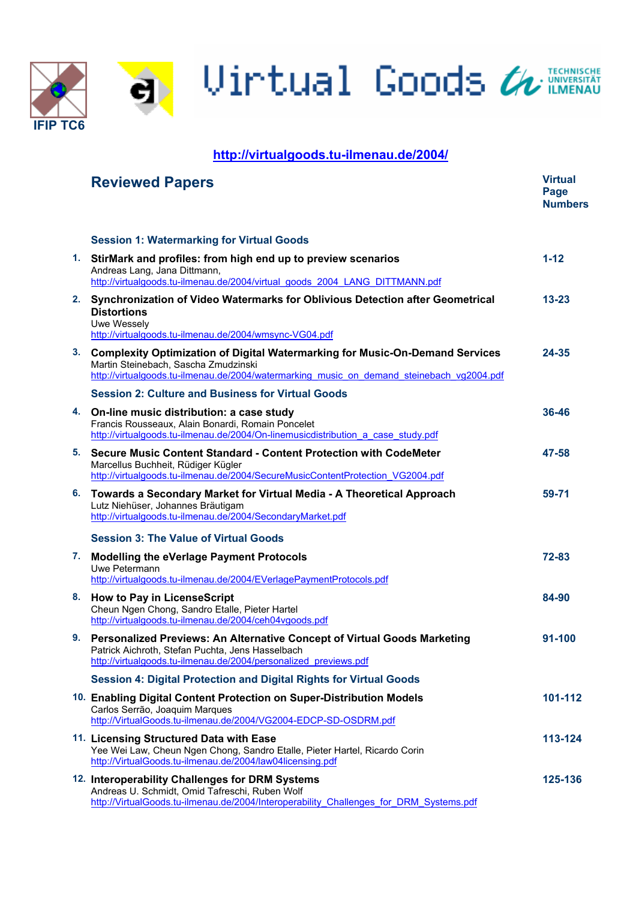Uirtual Goods & TECHNISCHE

# **<http://virtualgoods.tu-ilmenau.de/2004/>**

**IFIP TC6** 

|    | <b>Reviewed Papers</b>                                                                                                                                                                                               | <b>Virtual</b><br>Page<br><b>Numbers</b> |
|----|----------------------------------------------------------------------------------------------------------------------------------------------------------------------------------------------------------------------|------------------------------------------|
|    | <b>Session 1: Watermarking for Virtual Goods</b>                                                                                                                                                                     |                                          |
| 1. | StirMark and profiles: from high end up to preview scenarios<br>Andreas Lang, Jana Dittmann,<br>http://virtualgoods.tu-ilmenau.de/2004/virtual_goods_2004_LANG_DITTMANN.pdf                                          | $1 - 12$                                 |
| 2. | Synchronization of Video Watermarks for Oblivious Detection after Geometrical<br><b>Distortions</b><br>Uwe Wessely<br>http://virtualgoods.tu-ilmenau.de/2004/wmsync-VG04.pdf                                         | $13 - 23$                                |
|    | 3. Complexity Optimization of Digital Watermarking for Music-On-Demand Services<br>Martin Steinebach, Sascha Zmudzinski<br>http://virtualgoods.tu-ilmenau.de/2004/watermarking music on demand steinebach vg2004.pdf | 24-35                                    |
|    | <b>Session 2: Culture and Business for Virtual Goods</b>                                                                                                                                                             |                                          |
|    | 4. On-line music distribution: a case study<br>Francis Rousseaux, Alain Bonardi, Romain Poncelet<br>http://virtualgoods.tu-ilmenau.de/2004/On-linemusicdistribution a case study.pdf                                 | 36-46                                    |
| 5. | Secure Music Content Standard - Content Protection with CodeMeter<br>Marcellus Buchheit, Rüdiger Kügler<br>http://virtualgoods.tu-ilmenau.de/2004/SecureMusicContentProtection VG2004.pdf                            | 47-58                                    |
| 6. | Towards a Secondary Market for Virtual Media - A Theoretical Approach<br>Lutz Niehüser, Johannes Bräutigam<br>http://virtualgoods.tu-ilmenau.de/2004/SecondaryMarket.pdf                                             | 59-71                                    |
|    | <b>Session 3: The Value of Virtual Goods</b>                                                                                                                                                                         |                                          |
| 7. | <b>Modelling the eVerlage Payment Protocols</b><br>Uwe Petermann<br>http://virtualgoods.tu-ilmenau.de/2004/EVerlagePaymentProtocols.pdf                                                                              | 72-83                                    |
|    | 8. How to Pay in LicenseScript<br>Cheun Ngen Chong, Sandro Etalle, Pieter Hartel<br>http://virtualgoods.tu-ilmenau.de/2004/ceh04vgoods.pdf                                                                           | 84-90                                    |
|    | 9. Personalized Previews: An Alternative Concept of Virtual Goods Marketing<br>Patrick Aichroth, Stefan Puchta, Jens Hasselbach<br>http://virtualgoods.tu-ilmenau.de/2004/personalized previews.pdf                  | 91-100                                   |
|    | <b>Session 4: Digital Protection and Digital Rights for Virtual Goods</b>                                                                                                                                            |                                          |
|    | 10. Enabling Digital Content Protection on Super-Distribution Models<br>Carlos Serrão, Joaquim Marques<br>http://VirtualGoods.tu-ilmenau.de/2004/VG2004-EDCP-SD-OSDRM.pdf                                            | 101-112                                  |
|    | 11. Licensing Structured Data with Ease<br>Yee Wei Law, Cheun Ngen Chong, Sandro Etalle, Pieter Hartel, Ricardo Corin<br>http://VirtualGoods.tu-ilmenau.de/2004/law04licensing.pdf                                   | 113-124                                  |
|    | 12. Interoperability Challenges for DRM Systems<br>Andreas U. Schmidt, Omid Tafreschi, Ruben Wolf<br>http://VirtualGoods.tu-ilmenau.de/2004/Interoperability Challenges for DRM Systems.pdf                          | 125-136                                  |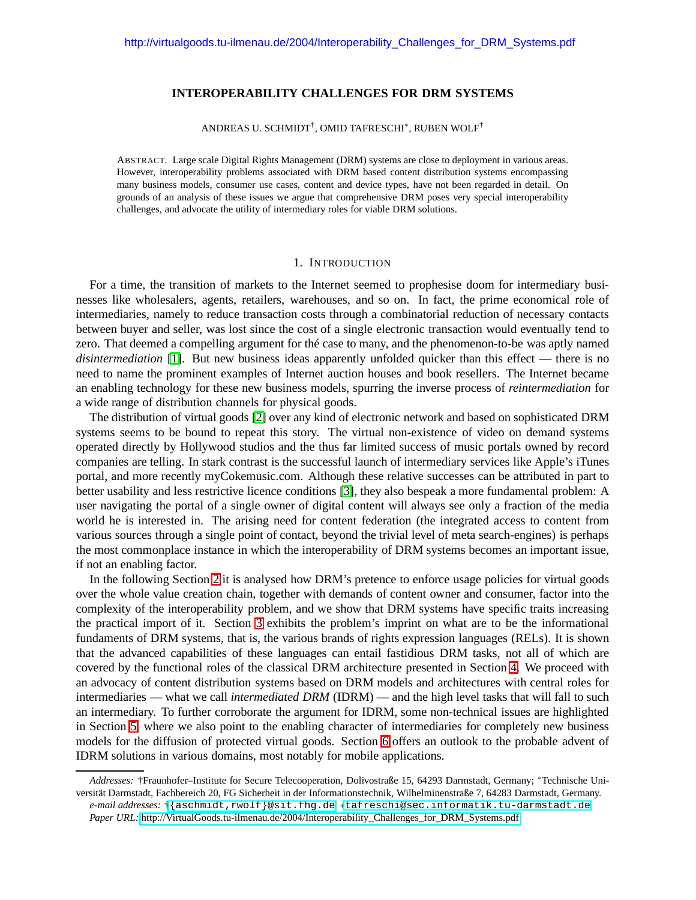# **INTEROPERABILITY CHALLENGES FOR DRM SYSTEMS**

ANDREAS U. SCHMIDT<sup>†</sup>, OMID TAFRESCHI<sup>\*</sup>, RUBEN WOLF<sup>†</sup>

ABSTRACT. Large scale Digital Rights Management (DRM) systems are close to deployment in various areas. However, interoperability problems associated with DRM based content distribution systems encompassing many business models, consumer use cases, content and device types, have not been regarded in detail. On grounds of an analysis of these issues we argue that comprehensive DRM poses very special interoperability challenges, and advocate the utility of intermediary roles for viable DRM solutions.

#### 1. INTRODUCTION

For a time, the transition of markets to the Internet seemed to prophesise doom for intermediary businesses like wholesalers, agents, retailers, warehouses, and so on. In fact, the prime economical role of intermediaries, namely to reduce transaction costs through a combinatorial reduction of necessary contacts between buyer and seller, was lost since the cost of a single electronic transaction would eventually tend to zero. That deemed a compelling argument for thé case to many, and the phenomenon-to-be was aptly named *disintermediation* [\[1\]](#page-12-0). But new business ideas apparently unfolded quicker than this effect — there is no need to name the prominent examples of Internet auction houses and book resellers. The Internet became an enabling technology for these new business models, spurring the inverse process of *reintermediation* for a wide range of distribution channels for physical goods.

The distribution of virtual goods [\[2\]](#page-12-1) over any kind of electronic network and based on sophisticated DRM systems seems to be bound to repeat this story. The virtual non-existence of video on demand systems operated directly by Hollywood studios and the thus far limited success of music portals owned by record companies are telling. In stark contrast is the successful launch of intermediary services like Apple's iTunes portal, and more recently myCokemusic.com. Although these relative successes can be attributed in part to better usability and less restrictive licence conditions [\[3\]](#page-12-2), they also bespeak a more fundamental problem: A user navigating the portal of a single owner of digital content will always see only a fraction of the media world he is interested in. The arising need for content federation (the integrated access to content from various sources through a single point of contact, beyond the trivial level of meta search-engines) is perhaps the most commonplace instance in which the interoperability of DRM systems becomes an important issue, if not an enabling factor.

In the following Section [2](#page-2-0) it is analysed how DRM's pretence to enforce usage policies for virtual goods over the whole value creation chain, together with demands of content owner and consumer, factor into the complexity of the interoperability problem, and we show that DRM systems have specific traits increasing the practical import of it. Section [3](#page-3-0) exhibits the problem's imprint on what are to be the informational fundaments of DRM systems, that is, the various brands of rights expression languages (RELs). It is shown that the advanced capabilities of these languages can entail fastidious DRM tasks, not all of which are covered by the functional roles of the classical DRM architecture presented in Section [4.](#page-7-0) We proceed with an advocacy of content distribution systems based on DRM models and architectures with central roles for intermediaries — what we call *intermediated DRM* (IDRM) — and the high level tasks that will fall to such an intermediary. To further corroborate the argument for IDRM, some non-technical issues are highlighted in Section [5,](#page-9-0) where we also point to the enabling character of intermediaries for completely new business models for the diffusion of protected virtual goods. Section [6](#page-11-0) offers an outlook to the probable advent of IDRM solutions in various domains, most notably for mobile applications.

*Addresses:* †Fraunhofer–Institute for Secure Telecooperation, Dolivostraße 15, 64293 Darmstadt, Germany; <sup>∗</sup>Technische Universität Darmstadt, Fachbereich 20, FG Sicherheit in der Informationstechnik, Wilhelminenstraße 7, 64283 Darmstadt, Germany.

*e-mail addresses:* †[{aschmidt,rwolf}@sit.fhg.de](mailto:{aschmidt,rwolf}@sit.fhg.de); ∗[tafreschi@sec.informatik.tu-darmstadt.de](mailto:tafreschi@sec.informatik.tu-darmstadt.de).

*Paper URL:* [http://VirtualGoods.tu-ilmenau.de/2004/Interoperability\\_Challenges\\_for\\_DRM\\_Systems.pdf](http://VirtualGoods.tu-ilmenau.de/2004/Interoperability_Challenges_for_DRM_Systems.pdf)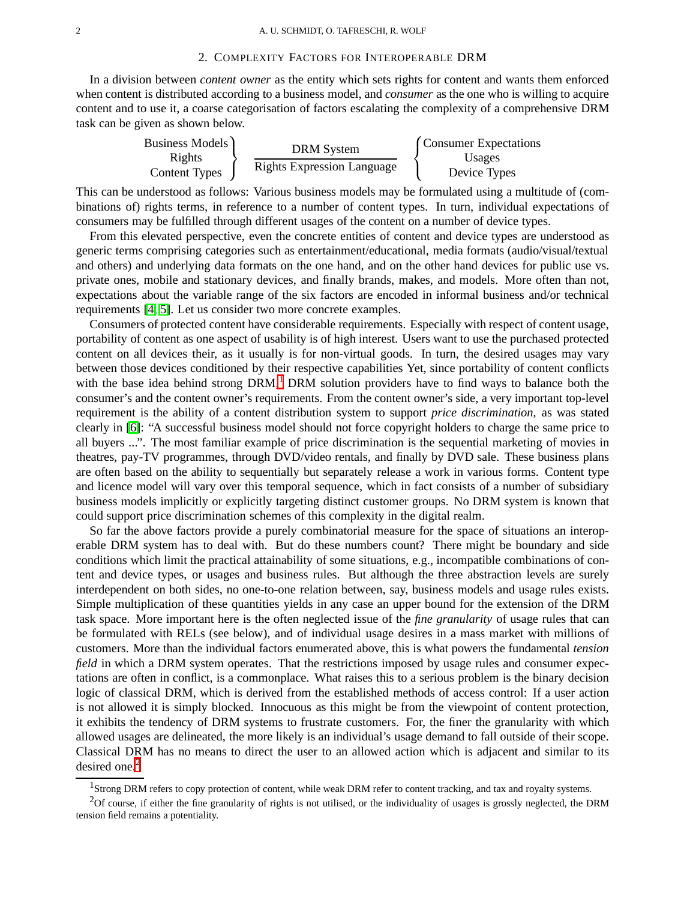### 2. COMPLEXITY FACTORS FOR INTEROPERABLE DRM

<span id="page-2-0"></span>In a division between *content owner* as the entity which sets rights for content and wants them enforced when content is distributed according to a business model, and *consumer* as the one who is willing to acquire content and to use it, a coarse categorisation of factors escalating the complexity of a comprehensive DRM task can be given as shown below.

| Business Models                | <b>DRM</b> System                 | Consumer Expectations  |
|--------------------------------|-----------------------------------|------------------------|
| Rights<br><b>Content Types</b> | <b>Rights Expression Language</b> | Usages<br>Device Types |
|                                |                                   |                        |

This can be understood as follows: Various business models may be formulated using a multitude of (combinations of) rights terms, in reference to a number of content types. In turn, individual expectations of consumers may be fulfilled through different usages of the content on a number of device types.

From this elevated perspective, even the concrete entities of content and device types are understood as generic terms comprising categories such as entertainment/educational, media formats (audio/visual/textual and others) and underlying data formats on the one hand, and on the other hand devices for public use vs. private ones, mobile and stationary devices, and finally brands, makes, and models. More often than not, expectations about the variable range of the six factors are encoded in informal business and/or technical requirements [\[4,](#page-12-3) [5\]](#page-12-4). Let us consider two more concrete examples.

Consumers of protected content have considerable requirements. Especially with respect of content usage, portability of content as one aspect of usability is of high interest. Users want to use the purchased protected content on all devices their, as it usually is for non-virtual goods. In turn, the desired usages may vary between those devices conditioned by their respective capabilities Yet, since portability of content conflicts with the base idea behind strong  $DRM$ ,<sup>[1](#page-2-1)</sup> DRM solution providers have to find ways to balance both the consumer's and the content owner's requirements. From the content owner's side, a very important top-level requirement is the ability of a content distribution system to support *price discrimination*, as was stated clearly in [\[6\]](#page-12-5): "A successful business model should not force copyright holders to charge the same price to all buyers ...". The most familiar example of price discrimination is the sequential marketing of movies in theatres, pay-TV programmes, through DVD/video rentals, and finally by DVD sale. These business plans are often based on the ability to sequentially but separately release a work in various forms. Content type and licence model will vary over this temporal sequence, which in fact consists of a number of subsidiary business models implicitly or explicitly targeting distinct customer groups. No DRM system is known that could support price discrimination schemes of this complexity in the digital realm.

So far the above factors provide a purely combinatorial measure for the space of situations an interoperable DRM system has to deal with. But do these numbers count? There might be boundary and side conditions which limit the practical attainability of some situations, e.g., incompatible combinations of content and device types, or usages and business rules. But although the three abstraction levels are surely interdependent on both sides, no one-to-one relation between, say, business models and usage rules exists. Simple multiplication of these quantities yields in any case an upper bound for the extension of the DRM task space. More important here is the often neglected issue of the *fine granularity* of usage rules that can be formulated with RELs (see below), and of individual usage desires in a mass market with millions of customers. More than the individual factors enumerated above, this is what powers the fundamental *tension field* in which a DRM system operates. That the restrictions imposed by usage rules and consumer expectations are often in conflict, is a commonplace. What raises this to a serious problem is the binary decision logic of classical DRM, which is derived from the established methods of access control: If a user action is not allowed it is simply blocked. Innocuous as this might be from the viewpoint of content protection, it exhibits the tendency of DRM systems to frustrate customers. For, the finer the granularity with which allowed usages are delineated, the more likely is an individual's usage demand to fall outside of their scope. Classical DRM has no means to direct the user to an allowed action which is adjacent and similar to its desired one. $<sup>2</sup>$  $<sup>2</sup>$  $<sup>2</sup>$ </sup>

 $1$ Strong DRM refers to copy protection of content, while weak DRM refer to content tracking, and tax and royalty systems.

<span id="page-2-2"></span><span id="page-2-1"></span> $2$ Of course, if either the fine granularity of rights is not utilised, or the individuality of usages is grossly neglected, the DRM tension field remains a potentiality.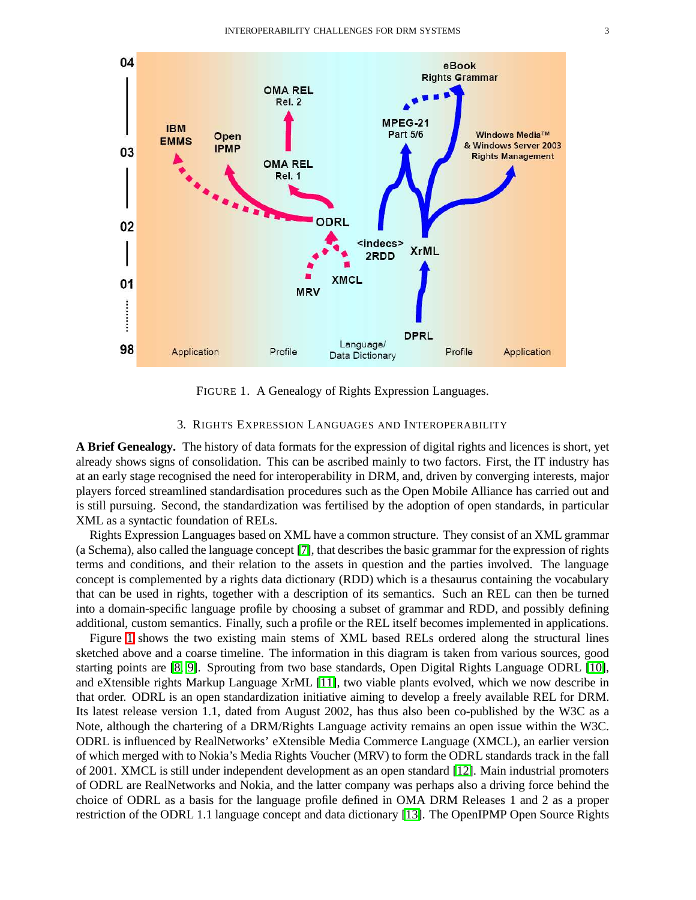

<span id="page-3-1"></span>FIGURE 1. A Genealogy of Rights Expression Languages.

# 3. RIGHTS EXPRESSION LANGUAGES AND INTEROPERABILITY

<span id="page-3-0"></span>**A Brief Genealogy.** The history of data formats for the expression of digital rights and licences is short, yet already shows signs of consolidation. This can be ascribed mainly to two factors. First, the IT industry has at an early stage recognised the need for interoperability in DRM, and, driven by converging interests, major players forced streamlined standardisation procedures such as the Open Mobile Alliance has carried out and is still pursuing. Second, the standardization was fertilised by the adoption of open standards, in particular XML as a syntactic foundation of RELs.

Rights Expression Languages based on XML have a common structure. They consist of an XML grammar (a Schema), also called the language concept [\[7\]](#page-12-6), that describes the basic grammar for the expression of rights terms and conditions, and their relation to the assets in question and the parties involved. The language concept is complemented by a rights data dictionary (RDD) which is a thesaurus containing the vocabulary that can be used in rights, together with a description of its semantics. Such an REL can then be turned into a domain-specific language profile by choosing a subset of grammar and RDD, and possibly defining additional, custom semantics. Finally, such a profile or the REL itself becomes implemented in applications.

Figure [1](#page-3-1) shows the two existing main stems of XML based RELs ordered along the structural lines sketched above and a coarse timeline. The information in this diagram is taken from various sources, good starting points are [\[8,](#page-12-7) [9\]](#page-12-8). Sprouting from two base standards, Open Digital Rights Language ODRL [\[10\]](#page-12-9), and eXtensible rights Markup Language XrML [\[11\]](#page-12-10), two viable plants evolved, which we now describe in that order. ODRL is an open standardization initiative aiming to develop a freely available REL for DRM. Its latest release version 1.1, dated from August 2002, has thus also been co-published by the W3C as a Note, although the chartering of a DRM/Rights Language activity remains an open issue within the W3C. ODRL is influenced by RealNetworks' eXtensible Media Commerce Language (XMCL), an earlier version of which merged with to Nokia's Media Rights Voucher (MRV) to form the ODRL standards track in the fall of 2001. XMCL is still under independent development as an open standard [\[12\]](#page-12-11). Main industrial promoters of ODRL are RealNetworks and Nokia, and the latter company was perhaps also a driving force behind the choice of ODRL as a basis for the language profile defined in OMA DRM Releases 1 and 2 as a proper restriction of the ODRL 1.1 language concept and data dictionary [\[13\]](#page-12-12). The OpenIPMP Open Source Rights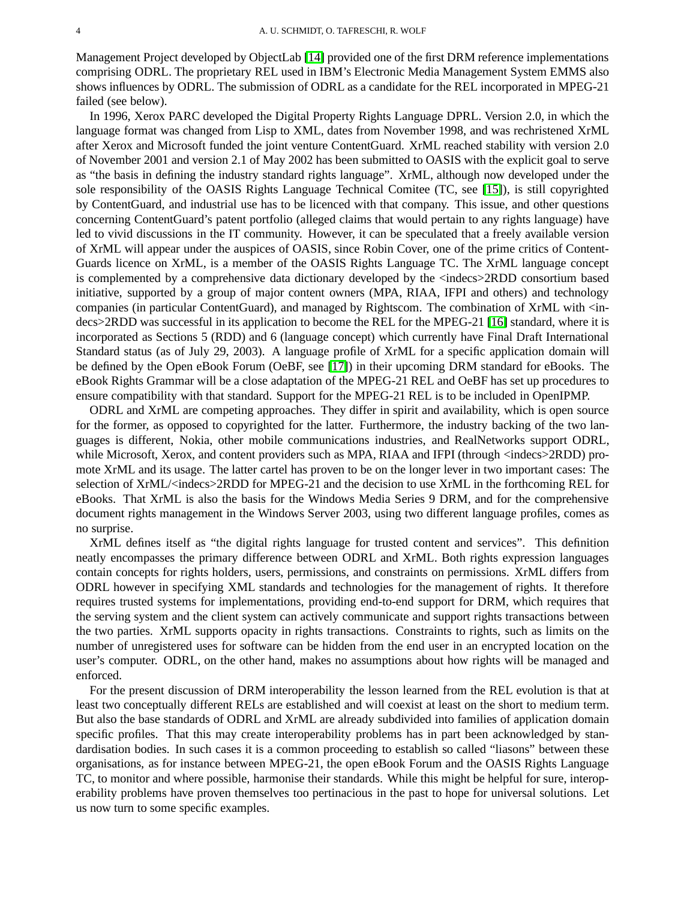Management Project developed by ObjectLab [\[14\]](#page-12-13) provided one of the first DRM reference implementations comprising ODRL. The proprietary REL used in IBM's Electronic Media Management System EMMS also shows influences by ODRL. The submission of ODRL as a candidate for the REL incorporated in MPEG-21 failed (see below).

In 1996, Xerox PARC developed the Digital Property Rights Language DPRL. Version 2.0, in which the language format was changed from Lisp to XML, dates from November 1998, and was rechristened XrML after Xerox and Microsoft funded the joint venture ContentGuard. XrML reached stability with version 2.0 of November 2001 and version 2.1 of May 2002 has been submitted to OASIS with the explicit goal to serve as "the basis in defining the industry standard rights language". XrML, although now developed under the sole responsibility of the OASIS Rights Language Technical Comitee (TC, see [\[15\]](#page-12-14)), is still copyrighted by ContentGuard, and industrial use has to be licenced with that company. This issue, and other questions concerning ContentGuard's patent portfolio (alleged claims that would pertain to any rights language) have led to vivid discussions in the IT community. However, it can be speculated that a freely available version of XrML will appear under the auspices of OASIS, since Robin Cover, one of the prime critics of Content-Guards licence on XrML, is a member of the OASIS Rights Language TC. The XrML language concept is complemented by a comprehensive data dictionary developed by the <indecs>2RDD consortium based initiative, supported by a group of major content owners (MPA, RIAA, IFPI and others) and technology companies (in particular ContentGuard), and managed by Rightscom. The combination of XrML with <indecs>2RDD was successful in its application to become the REL for the MPEG-21 [\[16\]](#page-12-15) standard, where it is incorporated as Sections 5 (RDD) and 6 (language concept) which currently have Final Draft International Standard status (as of July 29, 2003). A language profile of XrML for a specific application domain will be defined by the Open eBook Forum (OeBF, see [\[17\]](#page-12-16)) in their upcoming DRM standard for eBooks. The eBook Rights Grammar will be a close adaptation of the MPEG-21 REL and OeBF has set up procedures to ensure compatibility with that standard. Support for the MPEG-21 REL is to be included in OpenIPMP.

ODRL and XrML are competing approaches. They differ in spirit and availability, which is open source for the former, as opposed to copyrighted for the latter. Furthermore, the industry backing of the two languages is different, Nokia, other mobile communications industries, and RealNetworks support ODRL, while Microsoft, Xerox, and content providers such as MPA, RIAA and IFPI (through <indecs>2RDD) promote XrML and its usage. The latter cartel has proven to be on the longer lever in two important cases: The selection of XrML/<indecs>2RDD for MPEG-21 and the decision to use XrML in the forthcoming REL for eBooks. That XrML is also the basis for the Windows Media Series 9 DRM, and for the comprehensive document rights management in the Windows Server 2003, using two different language profiles, comes as no surprise.

XrML defines itself as "the digital rights language for trusted content and services". This definition neatly encompasses the primary difference between ODRL and XrML. Both rights expression languages contain concepts for rights holders, users, permissions, and constraints on permissions. XrML differs from ODRL however in specifying XML standards and technologies for the management of rights. It therefore requires trusted systems for implementations, providing end-to-end support for DRM, which requires that the serving system and the client system can actively communicate and support rights transactions between the two parties. XrML supports opacity in rights transactions. Constraints to rights, such as limits on the number of unregistered uses for software can be hidden from the end user in an encrypted location on the user's computer. ODRL, on the other hand, makes no assumptions about how rights will be managed and enforced.

For the present discussion of DRM interoperability the lesson learned from the REL evolution is that at least two conceptually different RELs are established and will coexist at least on the short to medium term. But also the base standards of ODRL and XrML are already subdivided into families of application domain specific profiles. That this may create interoperability problems has in part been acknowledged by standardisation bodies. In such cases it is a common proceeding to establish so called "liasons" between these organisations, as for instance between MPEG-21, the open eBook Forum and the OASIS Rights Language TC, to monitor and where possible, harmonise their standards. While this might be helpful for sure, interoperability problems have proven themselves too pertinacious in the past to hope for universal solutions. Let us now turn to some specific examples.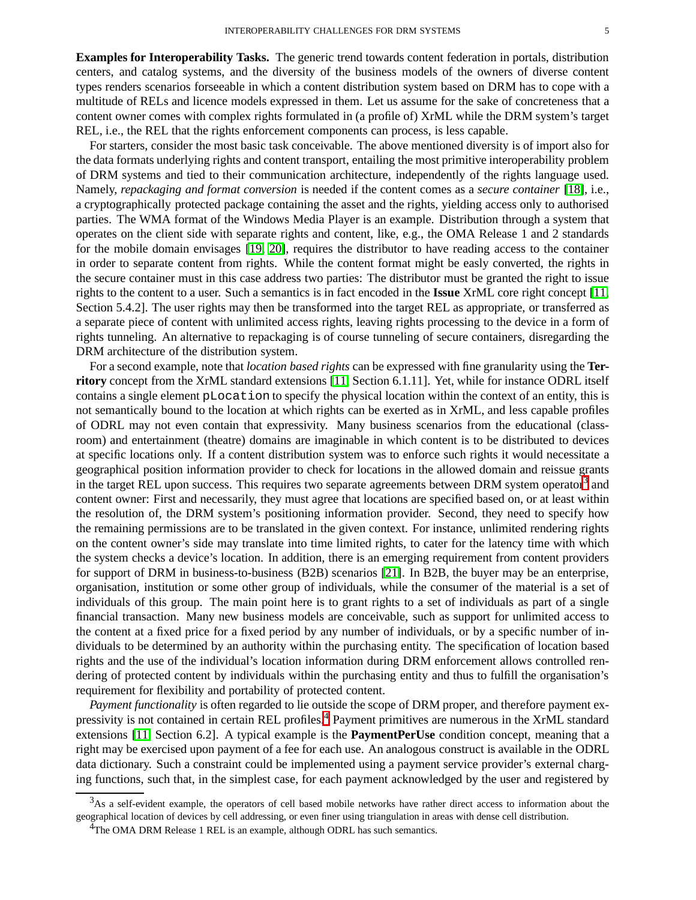**Examples for Interoperability Tasks.** The generic trend towards content federation in portals, distribution centers, and catalog systems, and the diversity of the business models of the owners of diverse content types renders scenarios forseeable in which a content distribution system based on DRM has to cope with a multitude of RELs and licence models expressed in them. Let us assume for the sake of concreteness that a content owner comes with complex rights formulated in (a profile of) XrML while the DRM system's target REL, i.e., the REL that the rights enforcement components can process, is less capable.

For starters, consider the most basic task conceivable. The above mentioned diversity is of import also for the data formats underlying rights and content transport, entailing the most primitive interoperability problem of DRM systems and tied to their communication architecture, independently of the rights language used. Namely, *repackaging and format conversion* is needed if the content comes as a *secure container* [\[18\]](#page-12-17), i.e., a cryptographically protected package containing the asset and the rights, yielding access only to authorised parties. The WMA format of the Windows Media Player is an example. Distribution through a system that operates on the client side with separate rights and content, like, e.g., the OMA Release 1 and 2 standards for the mobile domain envisages [\[19,](#page-12-18) [20\]](#page-12-19), requires the distributor to have reading access to the container in order to separate content from rights. While the content format might be easly converted, the rights in the secure container must in this case address two parties: The distributor must be granted the right to issue rights to the content to a user. Such a semantics is in fact encoded in the **Issue** XrML core right concept [\[11,](#page-12-10) Section 5.4.2]. The user rights may then be transformed into the target REL as appropriate, or transferred as a separate piece of content with unlimited access rights, leaving rights processing to the device in a form of rights tunneling. An alternative to repackaging is of course tunneling of secure containers, disregarding the DRM architecture of the distribution system.

For a second example, note that *location based rights* can be expressed with fine granularity using the **Territory** concept from the XrML standard extensions [\[11,](#page-12-10) Section 6.1.11]. Yet, while for instance ODRL itself contains a single element pLocation to specify the physical location within the context of an entity, this is not semantically bound to the location at which rights can be exerted as in XrML, and less capable profiles of ODRL may not even contain that expressivity. Many business scenarios from the educational (classroom) and entertainment (theatre) domains are imaginable in which content is to be distributed to devices at specific locations only. If a content distribution system was to enforce such rights it would necessitate a geographical position information provider to check for locations in the allowed domain and reissue grants in the target REL upon success. This requires two separate agreements between DRM system operator<sup>[3](#page-5-0)</sup> and content owner: First and necessarily, they must agree that locations are specified based on, or at least within the resolution of, the DRM system's positioning information provider. Second, they need to specify how the remaining permissions are to be translated in the given context. For instance, unlimited rendering rights on the content owner's side may translate into time limited rights, to cater for the latency time with which the system checks a device's location. In addition, there is an emerging requirement from content providers for support of DRM in business-to-business (B2B) scenarios [\[21\]](#page-12-20). In B2B, the buyer may be an enterprise, organisation, institution or some other group of individuals, while the consumer of the material is a set of individuals of this group. The main point here is to grant rights to a set of individuals as part of a single financial transaction. Many new business models are conceivable, such as support for unlimited access to the content at a fixed price for a fixed period by any number of individuals, or by a specific number of individuals to be determined by an authority within the purchasing entity. The specification of location based rights and the use of the individual's location information during DRM enforcement allows controlled rendering of protected content by individuals within the purchasing entity and thus to fulfill the organisation's requirement for flexibility and portability of protected content.

*Payment functionality* is often regarded to lie outside the scope of DRM proper, and therefore payment ex-pressivity is not contained in certain REL profiles.<sup>[4](#page-5-1)</sup> Payment primitives are numerous in the XrML standard extensions [\[11,](#page-12-10) Section 6.2]. A typical example is the **PaymentPerUse** condition concept, meaning that a right may be exercised upon payment of a fee for each use. An analogous construct is available in the ODRL data dictionary. Such a constraint could be implemented using a payment service provider's external charging functions, such that, in the simplest case, for each payment acknowledged by the user and registered by

<span id="page-5-0"></span><sup>&</sup>lt;sup>3</sup>As a self-evident example, the operators of cell based mobile networks have rather direct access to information about the geographical location of devices by cell addressing, or even finer using triangulation in areas with dense cell distribution.

<span id="page-5-1"></span> $^{4}$ The OMA DRM Release 1 REL is an example, although ODRL has such semantics.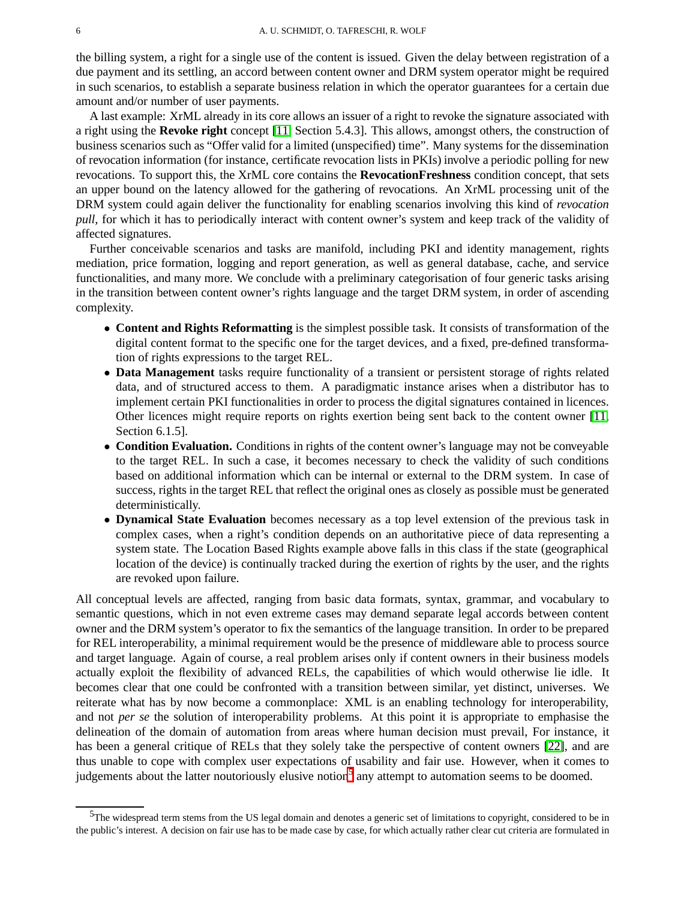the billing system, a right for a single use of the content is issued. Given the delay between registration of a due payment and its settling, an accord between content owner and DRM system operator might be required in such scenarios, to establish a separate business relation in which the operator guarantees for a certain due amount and/or number of user payments.

A last example: XrML already in its core allows an issuer of a right to revoke the signature associated with a right using the **Revoke right** concept [\[11,](#page-12-10) Section 5.4.3]. This allows, amongst others, the construction of business scenarios such as "Offer valid for a limited (unspecified) time". Many systems for the dissemination of revocation information (for instance, certificate revocation lists in PKIs) involve a periodic polling for new revocations. To support this, the XrML core contains the **RevocationFreshness** condition concept, that sets an upper bound on the latency allowed for the gathering of revocations. An XrML processing unit of the DRM system could again deliver the functionality for enabling scenarios involving this kind of *revocation pull*, for which it has to periodically interact with content owner's system and keep track of the validity of affected signatures.

Further conceivable scenarios and tasks are manifold, including PKI and identity management, rights mediation, price formation, logging and report generation, as well as general database, cache, and service functionalities, and many more. We conclude with a preliminary categorisation of four generic tasks arising in the transition between content owner's rights language and the target DRM system, in order of ascending complexity.

- **Content and Rights Reformatting** is the simplest possible task. It consists of transformation of the digital content format to the specific one for the target devices, and a fixed, pre-defined transformation of rights expressions to the target REL.
- **Data Management** tasks require functionality of a transient or persistent storage of rights related data, and of structured access to them. A paradigmatic instance arises when a distributor has to implement certain PKI functionalities in order to process the digital signatures contained in licences. Other licences might require reports on rights exertion being sent back to the content owner [\[11,](#page-12-10) Section 6.1.5].
- **Condition Evaluation.** Conditions in rights of the content owner's language may not be conveyable to the target REL. In such a case, it becomes necessary to check the validity of such conditions based on additional information which can be internal or external to the DRM system. In case of success, rights in the target REL that reflect the original ones as closely as possible must be generated deterministically.
- **Dynamical State Evaluation** becomes necessary as a top level extension of the previous task in complex cases, when a right's condition depends on an authoritative piece of data representing a system state. The Location Based Rights example above falls in this class if the state (geographical location of the device) is continually tracked during the exertion of rights by the user, and the rights are revoked upon failure.

All conceptual levels are affected, ranging from basic data formats, syntax, grammar, and vocabulary to semantic questions, which in not even extreme cases may demand separate legal accords between content owner and the DRM system's operator to fix the semantics of the language transition. In order to be prepared for REL interoperability, a minimal requirement would be the presence of middleware able to process source and target language. Again of course, a real problem arises only if content owners in their business models actually exploit the flexibility of advanced RELs, the capabilities of which would otherwise lie idle. It becomes clear that one could be confronted with a transition between similar, yet distinct, universes. We reiterate what has by now become a commonplace: XML is an enabling technology for interoperability, and not *per se* the solution of interoperability problems. At this point it is appropriate to emphasise the delineation of the domain of automation from areas where human decision must prevail, For instance, it has been a general critique of RELs that they solely take the perspective of content owners [\[22\]](#page-12-21), and are thus unable to cope with complex user expectations of usability and fair use. However, when it comes to judgements about the latter noutoriously elusive notion<sup>[5](#page-6-0)</sup> any attempt to automation seems to be doomed.

<span id="page-6-0"></span><sup>&</sup>lt;sup>5</sup>The widespread term stems from the US legal domain and denotes a generic set of limitations to copyright, considered to be in the public's interest. A decision on fair use has to be made case by case, for which actually rather clear cut criteria are formulated in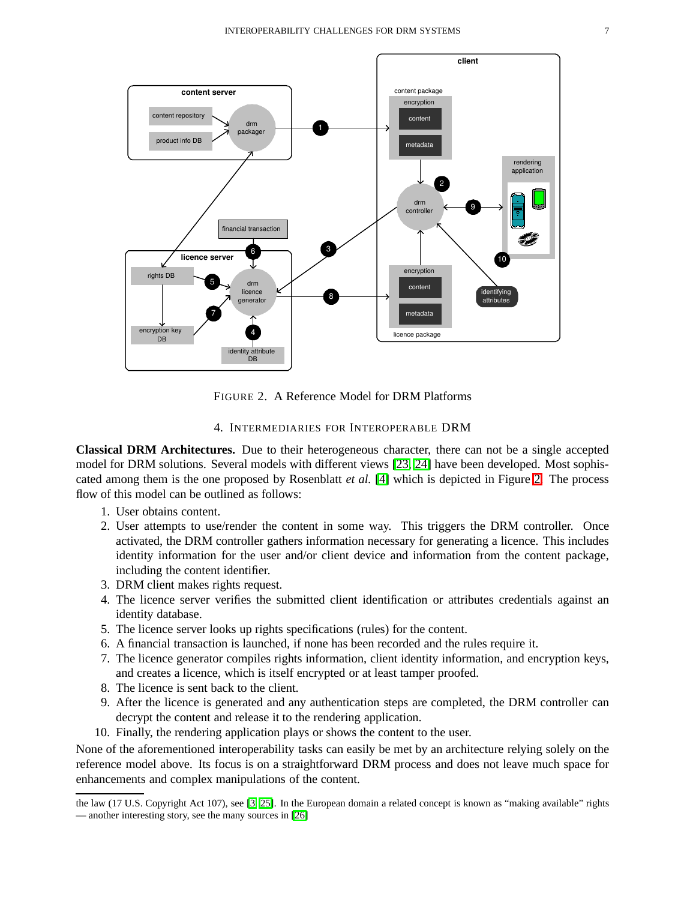

<span id="page-7-1"></span>FIGURE 2. A Reference Model for DRM Platforms

# 4. INTERMEDIARIES FOR INTEROPERABLE DRM

<span id="page-7-0"></span>**Classical DRM Architectures.** Due to their heterogeneous character, there can not be a single accepted model for DRM solutions. Several models with different views [\[23,](#page-12-22) [24\]](#page-12-23) have been developed. Most sophiscated among them is the one proposed by Rosenblatt *et al.* [\[4\]](#page-12-3) which is depicted in Figure [2.](#page-7-1) The process flow of this model can be outlined as follows:

- 1. User obtains content.
- 2. User attempts to use/render the content in some way. This triggers the DRM controller. Once activated, the DRM controller gathers information necessary for generating a licence. This includes identity information for the user and/or client device and information from the content package, including the content identifier.
- 3. DRM client makes rights request.
- 4. The licence server verifies the submitted client identification or attributes credentials against an identity database.
- 5. The licence server looks up rights specifications (rules) for the content.
- 6. A financial transaction is launched, if none has been recorded and the rules require it.
- 7. The licence generator compiles rights information, client identity information, and encryption keys, and creates a licence, which is itself encrypted or at least tamper proofed.
- 8. The licence is sent back to the client.
- 9. After the licence is generated and any authentication steps are completed, the DRM controller can decrypt the content and release it to the rendering application.
- 10. Finally, the rendering application plays or shows the content to the user.

None of the aforementioned interoperability tasks can easily be met by an architecture relying solely on the reference model above. Its focus is on a straightforward DRM process and does not leave much space for enhancements and complex manipulations of the content.

the law (17 U.S. Copyright Act 107), see [\[3,](#page-12-2) [25\]](#page-12-24). In the European domain a related concept is known as "making available" rights — another interesting story, see the many sources in [\[26\]](#page-12-25)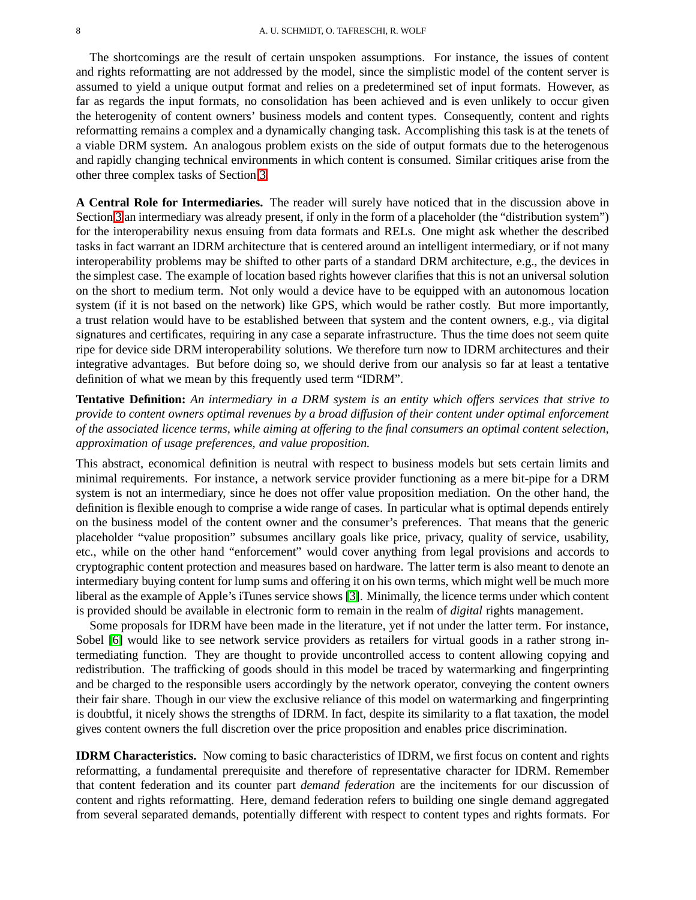The shortcomings are the result of certain unspoken assumptions. For instance, the issues of content and rights reformatting are not addressed by the model, since the simplistic model of the content server is assumed to yield a unique output format and relies on a predetermined set of input formats. However, as far as regards the input formats, no consolidation has been achieved and is even unlikely to occur given the heterogenity of content owners' business models and content types. Consequently, content and rights reformatting remains a complex and a dynamically changing task. Accomplishing this task is at the tenets of a viable DRM system. An analogous problem exists on the side of output formats due to the heterogenous and rapidly changing technical environments in which content is consumed. Similar critiques arise from the other three complex tasks of Section [3.](#page-3-0)

**A Central Role for Intermediaries.** The reader will surely have noticed that in the discussion above in Section [3](#page-3-0) an intermediary was already present, if only in the form of a placeholder (the "distribution system") for the interoperability nexus ensuing from data formats and RELs. One might ask whether the described tasks in fact warrant an IDRM architecture that is centered around an intelligent intermediary, or if not many interoperability problems may be shifted to other parts of a standard DRM architecture, e.g., the devices in the simplest case. The example of location based rights however clarifies that this is not an universal solution on the short to medium term. Not only would a device have to be equipped with an autonomous location system (if it is not based on the network) like GPS, which would be rather costly. But more importantly, a trust relation would have to be established between that system and the content owners, e.g., via digital signatures and certificates, requiring in any case a separate infrastructure. Thus the time does not seem quite ripe for device side DRM interoperability solutions. We therefore turn now to IDRM architectures and their integrative advantages. But before doing so, we should derive from our analysis so far at least a tentative definition of what we mean by this frequently used term "IDRM".

**Tentative Definition:** *An intermediary in a DRM system is an entity which offers services that strive to provide to content owners optimal revenues by a broad diffusion of their content under optimal enforcement of the associated licence terms, while aiming at offering to the final consumers an optimal content selection, approximation of usage preferences, and value proposition.*

This abstract, economical definition is neutral with respect to business models but sets certain limits and minimal requirements. For instance, a network service provider functioning as a mere bit-pipe for a DRM system is not an intermediary, since he does not offer value proposition mediation. On the other hand, the definition is flexible enough to comprise a wide range of cases. In particular what is optimal depends entirely on the business model of the content owner and the consumer's preferences. That means that the generic placeholder "value proposition" subsumes ancillary goals like price, privacy, quality of service, usability, etc., while on the other hand "enforcement" would cover anything from legal provisions and accords to cryptographic content protection and measures based on hardware. The latter term is also meant to denote an intermediary buying content for lump sums and offering it on his own terms, which might well be much more liberal as the example of Apple's iTunes service shows [\[3\]](#page-12-2). Minimally, the licence terms under which content is provided should be available in electronic form to remain in the realm of *digital* rights management.

Some proposals for IDRM have been made in the literature, yet if not under the latter term. For instance, Sobel [\[6\]](#page-12-5) would like to see network service providers as retailers for virtual goods in a rather strong intermediating function. They are thought to provide uncontrolled access to content allowing copying and redistribution. The trafficking of goods should in this model be traced by watermarking and fingerprinting and be charged to the responsible users accordingly by the network operator, conveying the content owners their fair share. Though in our view the exclusive reliance of this model on watermarking and fingerprinting is doubtful, it nicely shows the strengths of IDRM. In fact, despite its similarity to a flat taxation, the model gives content owners the full discretion over the price proposition and enables price discrimination.

**IDRM Characteristics.** Now coming to basic characteristics of IDRM, we first focus on content and rights reformatting, a fundamental prerequisite and therefore of representative character for IDRM. Remember that content federation and its counter part *demand federation* are the incitements for our discussion of content and rights reformatting. Here, demand federation refers to building one single demand aggregated from several separated demands, potentially different with respect to content types and rights formats. For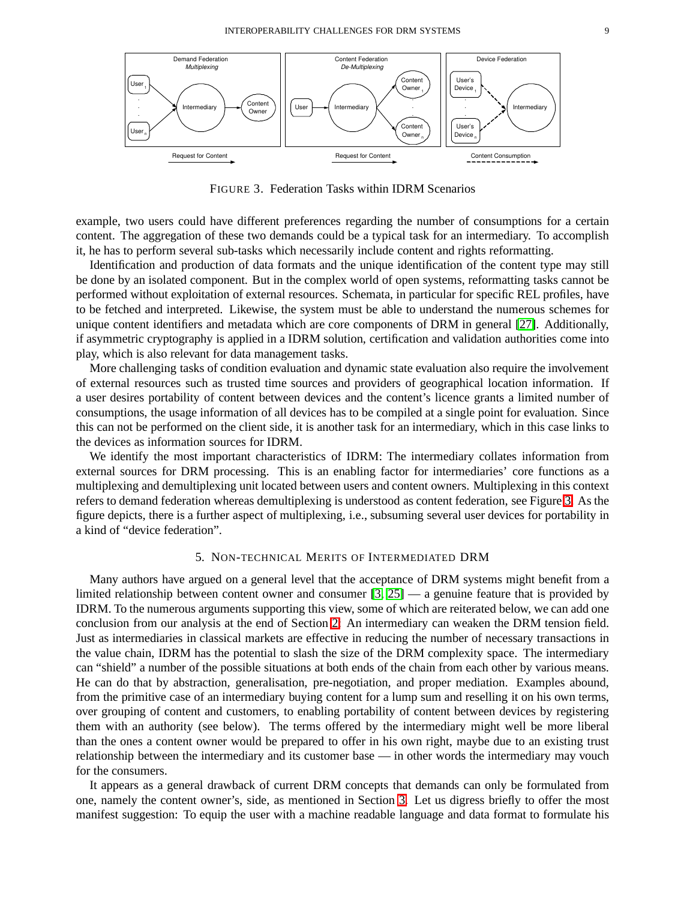

<span id="page-9-1"></span>FIGURE 3. Federation Tasks within IDRM Scenarios

example, two users could have different preferences regarding the number of consumptions for a certain content. The aggregation of these two demands could be a typical task for an intermediary. To accomplish it, he has to perform several sub-tasks which necessarily include content and rights reformatting.

Identification and production of data formats and the unique identification of the content type may still be done by an isolated component. But in the complex world of open systems, reformatting tasks cannot be performed without exploitation of external resources. Schemata, in particular for specific REL profiles, have to be fetched and interpreted. Likewise, the system must be able to understand the numerous schemes for unique content identifiers and metadata which are core components of DRM in general [\[27\]](#page-12-26). Additionally, if asymmetric cryptography is applied in a IDRM solution, certification and validation authorities come into play, which is also relevant for data management tasks.

More challenging tasks of condition evaluation and dynamic state evaluation also require the involvement of external resources such as trusted time sources and providers of geographical location information. If a user desires portability of content between devices and the content's licence grants a limited number of consumptions, the usage information of all devices has to be compiled at a single point for evaluation. Since this can not be performed on the client side, it is another task for an intermediary, which in this case links to the devices as information sources for IDRM.

We identify the most important characteristics of IDRM: The intermediary collates information from external sources for DRM processing. This is an enabling factor for intermediaries' core functions as a multiplexing and demultiplexing unit located between users and content owners. Multiplexing in this context refers to demand federation whereas demultiplexing is understood as content federation, see Figure [3.](#page-9-1) As the figure depicts, there is a further aspect of multiplexing, i.e., subsuming several user devices for portability in a kind of "device federation".

#### 5. NON-TECHNICAL MERITS OF INTERMEDIATED DRM

<span id="page-9-0"></span>Many authors have argued on a general level that the acceptance of DRM systems might benefit from a limited relationship between content owner and consumer [\[3,](#page-12-2) [25\]](#page-12-24) — a genuine feature that is provided by IDRM. To the numerous arguments supporting this view, some of which are reiterated below, we can add one conclusion from our analysis at the end of Section [2:](#page-2-0) An intermediary can weaken the DRM tension field. Just as intermediaries in classical markets are effective in reducing the number of necessary transactions in the value chain, IDRM has the potential to slash the size of the DRM complexity space. The intermediary can "shield" a number of the possible situations at both ends of the chain from each other by various means. He can do that by abstraction, generalisation, pre-negotiation, and proper mediation. Examples abound, from the primitive case of an intermediary buying content for a lump sum and reselling it on his own terms, over grouping of content and customers, to enabling portability of content between devices by registering them with an authority (see below). The terms offered by the intermediary might well be more liberal than the ones a content owner would be prepared to offer in his own right, maybe due to an existing trust relationship between the intermediary and its customer base — in other words the intermediary may vouch for the consumers.

It appears as a general drawback of current DRM concepts that demands can only be formulated from one, namely the content owner's, side, as mentioned in Section [3.](#page-3-0) Let us digress briefly to offer the most manifest suggestion: To equip the user with a machine readable language and data format to formulate his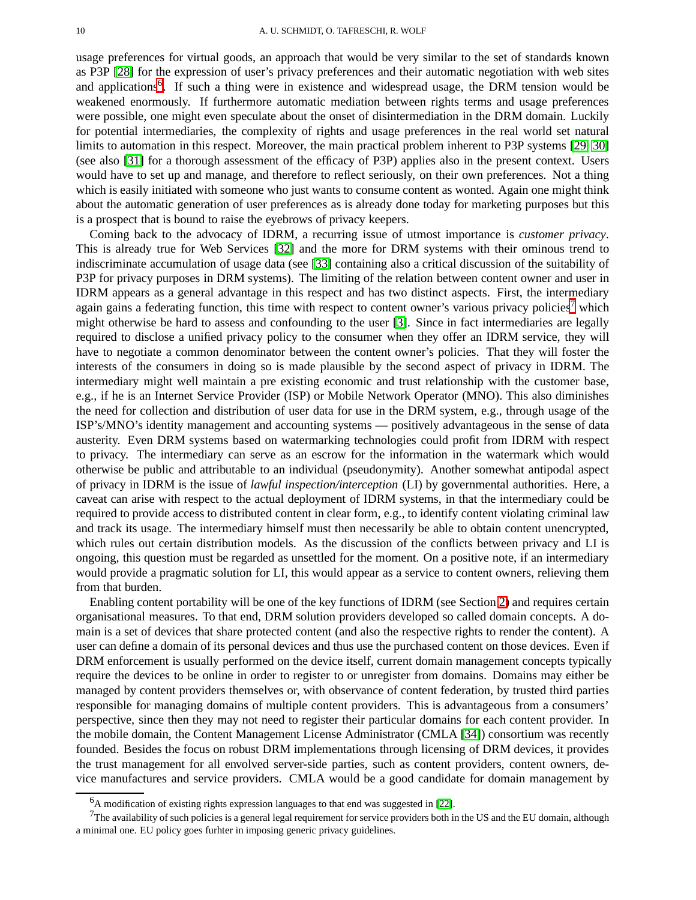usage preferences for virtual goods, an approach that would be very similar to the set of standards known as P3P [\[28\]](#page-12-27) for the expression of user's privacy preferences and their automatic negotiation with web sites and applications<sup>[6](#page-10-0)</sup>. If such a thing were in existence and widespread usage, the DRM tension would be weakened enormously. If furthermore automatic mediation between rights terms and usage preferences were possible, one might even speculate about the onset of disintermediation in the DRM domain. Luckily for potential intermediaries, the complexity of rights and usage preferences in the real world set natural limits to automation in this respect. Moreover, the main practical problem inherent to P3P systems [\[29,](#page-12-28) [30\]](#page-12-29) (see also [\[31\]](#page-12-30) for a thorough assessment of the efficacy of P3P) applies also in the present context. Users would have to set up and manage, and therefore to reflect seriously, on their own preferences. Not a thing which is easily initiated with someone who just wants to consume content as wonted. Again one might think about the automatic generation of user preferences as is already done today for marketing purposes but this is a prospect that is bound to raise the eyebrows of privacy keepers.

Coming back to the advocacy of IDRM, a recurring issue of utmost importance is *customer privacy*. This is already true for Web Services [\[32\]](#page-12-31) and the more for DRM systems with their ominous trend to indiscriminate accumulation of usage data (see [\[33\]](#page-12-32) containing also a critical discussion of the suitability of P3P for privacy purposes in DRM systems). The limiting of the relation between content owner and user in IDRM appears as a general advantage in this respect and has two distinct aspects. First, the intermediary again gains a federating function, this time with respect to content owner's various privacy policies<sup>[7](#page-10-1)</sup> which might otherwise be hard to assess and confounding to the user [\[3\]](#page-12-2). Since in fact intermediaries are legally required to disclose a unified privacy policy to the consumer when they offer an IDRM service, they will have to negotiate a common denominator between the content owner's policies. That they will foster the interests of the consumers in doing so is made plausible by the second aspect of privacy in IDRM. The intermediary might well maintain a pre existing economic and trust relationship with the customer base, e.g., if he is an Internet Service Provider (ISP) or Mobile Network Operator (MNO). This also diminishes the need for collection and distribution of user data for use in the DRM system, e.g., through usage of the ISP's/MNO's identity management and accounting systems — positively advantageous in the sense of data austerity. Even DRM systems based on watermarking technologies could profit from IDRM with respect to privacy. The intermediary can serve as an escrow for the information in the watermark which would otherwise be public and attributable to an individual (pseudonymity). Another somewhat antipodal aspect of privacy in IDRM is the issue of *lawful inspection/interception* (LI) by governmental authorities. Here, a caveat can arise with respect to the actual deployment of IDRM systems, in that the intermediary could be required to provide access to distributed content in clear form, e.g., to identify content violating criminal law and track its usage. The intermediary himself must then necessarily be able to obtain content unencrypted, which rules out certain distribution models. As the discussion of the conflicts between privacy and LI is ongoing, this question must be regarded as unsettled for the moment. On a positive note, if an intermediary would provide a pragmatic solution for LI, this would appear as a service to content owners, relieving them from that burden.

Enabling content portability will be one of the key functions of IDRM (see Section [2\)](#page-2-0) and requires certain organisational measures. To that end, DRM solution providers developed so called domain concepts. A domain is a set of devices that share protected content (and also the respective rights to render the content). A user can define a domain of its personal devices and thus use the purchased content on those devices. Even if DRM enforcement is usually performed on the device itself, current domain management concepts typically require the devices to be online in order to register to or unregister from domains. Domains may either be managed by content providers themselves or, with observance of content federation, by trusted third parties responsible for managing domains of multiple content providers. This is advantageous from a consumers' perspective, since then they may not need to register their particular domains for each content provider. In the mobile domain, the Content Management License Administrator (CMLA [\[34\]](#page-12-33)) consortium was recently founded. Besides the focus on robust DRM implementations through licensing of DRM devices, it provides the trust management for all envolved server-side parties, such as content providers, content owners, device manufactures and service providers. CMLA would be a good candidate for domain management by

<sup>6</sup>A modification of existing rights expression languages to that end was suggested in [\[22\]](#page-12-21).

<span id="page-10-1"></span><span id="page-10-0"></span> $7$ The availability of such policies is a general legal requirement for service providers both in the US and the EU domain, although a minimal one. EU policy goes furhter in imposing generic privacy guidelines.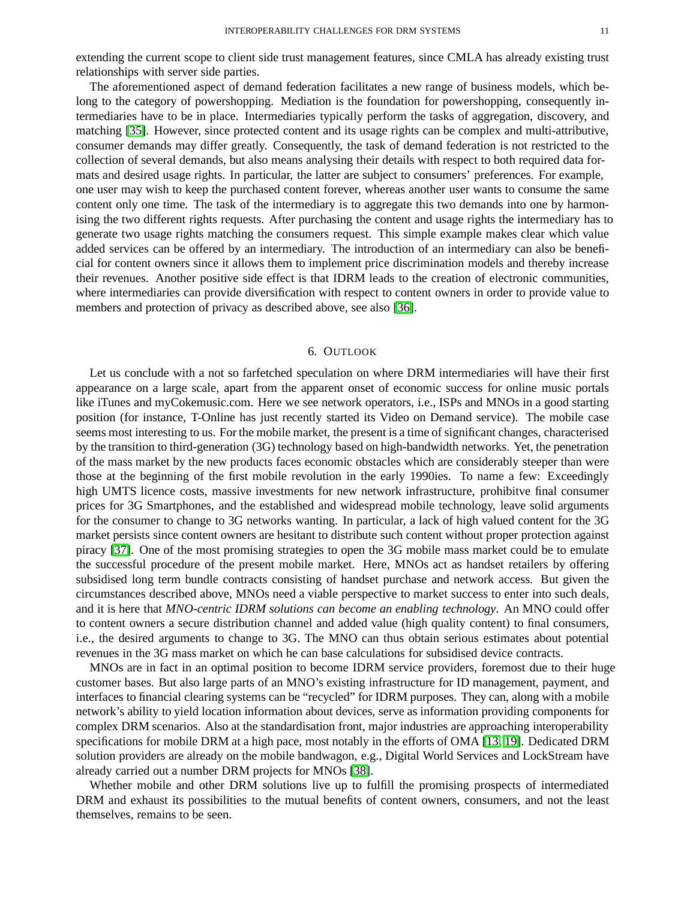extending the current scope to client side trust management features, since CMLA has already existing trust relationships with server side parties.

The aforementioned aspect of demand federation facilitates a new range of business models, which belong to the category of powershopping. Mediation is the foundation for powershopping, consequently intermediaries have to be in place. Intermediaries typically perform the tasks of aggregation, discovery, and matching [\[35\]](#page-12-34). However, since protected content and its usage rights can be complex and multi-attributive, consumer demands may differ greatly. Consequently, the task of demand federation is not restricted to the collection of several demands, but also means analysing their details with respect to both required data formats and desired usage rights. In particular, the latter are subject to consumers' preferences. For example, one user may wish to keep the purchased content forever, whereas another user wants to consume the same content only one time. The task of the intermediary is to aggregate this two demands into one by harmonising the two different rights requests. After purchasing the content and usage rights the intermediary has to generate two usage rights matching the consumers request. This simple example makes clear which value added services can be offered by an intermediary. The introduction of an intermediary can also be beneficial for content owners since it allows them to implement price discrimination models and thereby increase their revenues. Another positive side effect is that IDRM leads to the creation of electronic communities, where intermediaries can provide diversification with respect to content owners in order to provide value to members and protection of privacy as described above, see also [\[36\]](#page-12-35).

#### 6. OUTLOOK

<span id="page-11-0"></span>Let us conclude with a not so farfetched speculation on where DRM intermediaries will have their first appearance on a large scale, apart from the apparent onset of economic success for online music portals like iTunes and myCokemusic.com. Here we see network operators, i.e., ISPs and MNOs in a good starting position (for instance, T-Online has just recently started its Video on Demand service). The mobile case seems most interesting to us. For the mobile market, the present is a time of significant changes, characterised by the transition to third-generation (3G) technology based on high-bandwidth networks. Yet, the penetration of the mass market by the new products faces economic obstacles which are considerably steeper than were those at the beginning of the first mobile revolution in the early 1990ies. To name a few: Exceedingly high UMTS licence costs, massive investments for new network infrastructure, prohibitve final consumer prices for 3G Smartphones, and the established and widespread mobile technology, leave solid arguments for the consumer to change to 3G networks wanting. In particular, a lack of high valued content for the 3G market persists since content owners are hesitant to distribute such content without proper protection against piracy [\[37\]](#page-12-36). One of the most promising strategies to open the 3G mobile mass market could be to emulate the successful procedure of the present mobile market. Here, MNOs act as handset retailers by offering subsidised long term bundle contracts consisting of handset purchase and network access. But given the circumstances described above, MNOs need a viable perspective to market success to enter into such deals, and it is here that *MNO-centric IDRM solutions can become an enabling technology*. An MNO could offer to content owners a secure distribution channel and added value (high quality content) to final consumers, i.e., the desired arguments to change to 3G. The MNO can thus obtain serious estimates about potential revenues in the 3G mass market on which he can base calculations for subsidised device contracts.

MNOs are in fact in an optimal position to become IDRM service providers, foremost due to their huge customer bases. But also large parts of an MNO's existing infrastructure for ID management, payment, and interfaces to financial clearing systems can be "recycled" for IDRM purposes. They can, along with a mobile network's ability to yield location information about devices, serve as information providing components for complex DRM scenarios. Also at the standardisation front, major industries are approaching interoperability specifications for mobile DRM at a high pace, most notably in the efforts of OMA [\[13,](#page-12-12) [19\]](#page-12-18). Dedicated DRM solution providers are already on the mobile bandwagon, e.g., Digital World Services and LockStream have already carried out a number DRM projects for MNOs [\[38\]](#page-12-37).

Whether mobile and other DRM solutions live up to fulfill the promising prospects of intermediated DRM and exhaust its possibilities to the mutual benefits of content owners, consumers, and not the least themselves, remains to be seen.